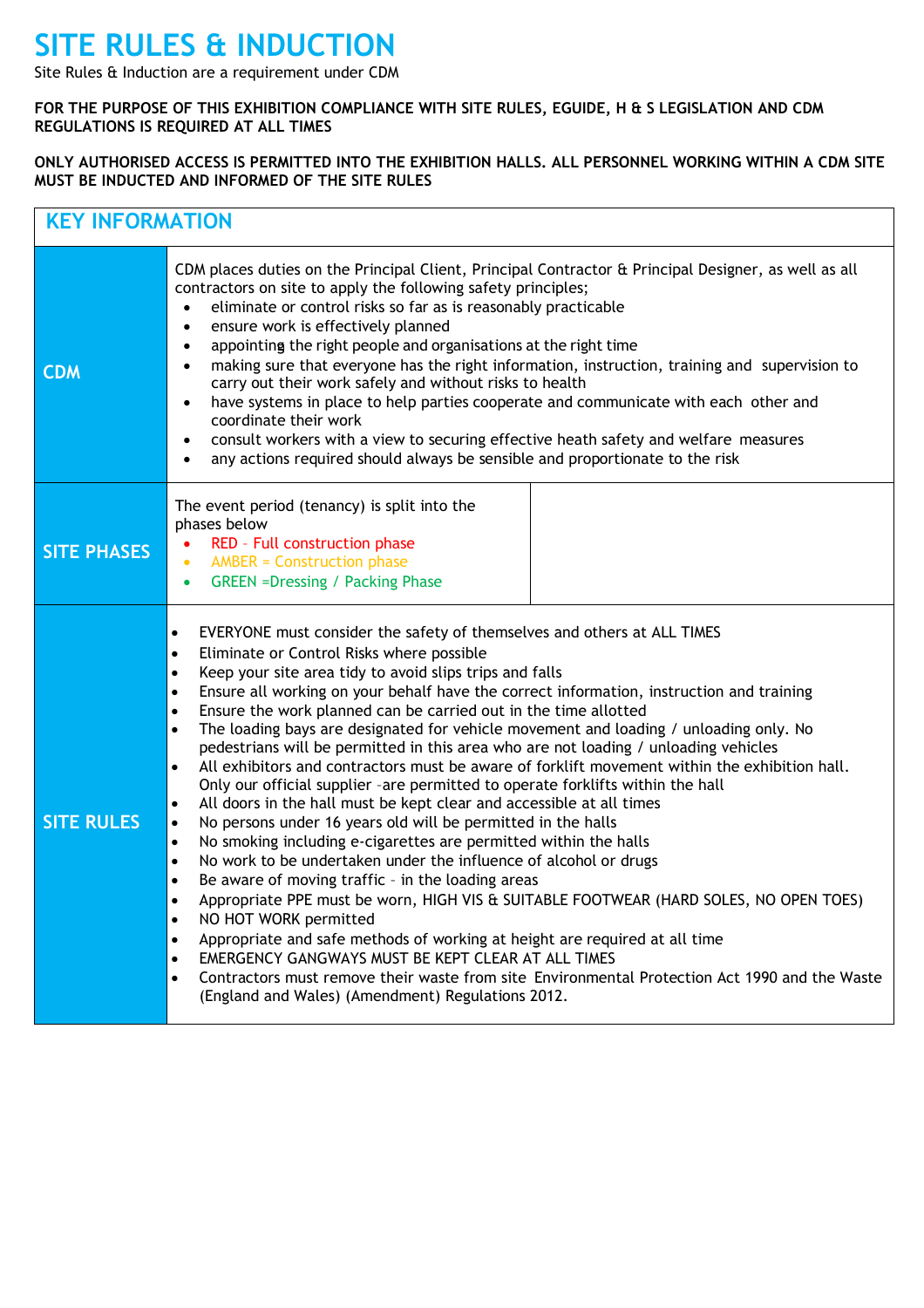## **SITE RULES & INDUCTION**

Site Rules & Induction are a requirement under CDM

## **FOR THE PURPOSE OF THIS EXHIBITION COMPLIANCE WITH SITE RULES, EGUIDE, H & S LEGISLATION AND CDM REGULATIONS IS REQUIRED AT ALL TIMES**

## **ONLY AUTHORISED ACCESS IS PERMITTED INTO THE EXHIBITION HALLS. ALL PERSONNEL WORKING WITHIN A CDM SITE MUST BE INDUCTED AND INFORMED OF THE SITE RULES**

| <b>KEY INFORMATION</b> |                                                                                                                                                                                                                                                                                                                                                                                                                                                                                                                                                                                                                                                                                                                                                                                                                                                                                                                                                                                                                                                                                                                                                                                                                                                                                                                                                                                                                                                                                                                                                                                                                                                                                         |  |
|------------------------|-----------------------------------------------------------------------------------------------------------------------------------------------------------------------------------------------------------------------------------------------------------------------------------------------------------------------------------------------------------------------------------------------------------------------------------------------------------------------------------------------------------------------------------------------------------------------------------------------------------------------------------------------------------------------------------------------------------------------------------------------------------------------------------------------------------------------------------------------------------------------------------------------------------------------------------------------------------------------------------------------------------------------------------------------------------------------------------------------------------------------------------------------------------------------------------------------------------------------------------------------------------------------------------------------------------------------------------------------------------------------------------------------------------------------------------------------------------------------------------------------------------------------------------------------------------------------------------------------------------------------------------------------------------------------------------------|--|
| <b>CDM</b>             | CDM places duties on the Principal Client, Principal Contractor & Principal Designer, as well as all<br>contractors on site to apply the following safety principles;<br>eliminate or control risks so far as is reasonably practicable<br>$\bullet$<br>ensure work is effectively planned<br>$\bullet$<br>appointing the right people and organisations at the right time<br>$\bullet$<br>making sure that everyone has the right information, instruction, training and supervision to<br>$\bullet$<br>carry out their work safely and without risks to health<br>have systems in place to help parties cooperate and communicate with each other and<br>$\bullet$<br>coordinate their work<br>consult workers with a view to securing effective heath safety and welfare measures<br>$\bullet$<br>any actions required should always be sensible and proportionate to the risk<br>$\bullet$                                                                                                                                                                                                                                                                                                                                                                                                                                                                                                                                                                                                                                                                                                                                                                                          |  |
| <b>SITE PHASES</b>     | The event period (tenancy) is split into the<br>phases below<br>RED - Full construction phase<br>$\bullet$<br><b>AMBER = Construction phase</b><br>$\bullet$<br><b>GREEN =Dressing / Packing Phase</b><br>$\bullet$                                                                                                                                                                                                                                                                                                                                                                                                                                                                                                                                                                                                                                                                                                                                                                                                                                                                                                                                                                                                                                                                                                                                                                                                                                                                                                                                                                                                                                                                     |  |
| <b>SITE RULES</b>      | EVERYONE must consider the safety of themselves and others at ALL TIMES<br>$\bullet$<br>Eliminate or Control Risks where possible<br>$\bullet$<br>Keep your site area tidy to avoid slips trips and falls<br>$\bullet$<br>Ensure all working on your behalf have the correct information, instruction and training<br>$\bullet$<br>Ensure the work planned can be carried out in the time allotted<br>$\bullet$<br>The loading bays are designated for vehicle movement and loading / unloading only. No<br>$\bullet$<br>pedestrians will be permitted in this area who are not loading / unloading vehicles<br>All exhibitors and contractors must be aware of forklift movement within the exhibition hall.<br>$\bullet$<br>Only our official supplier -are permitted to operate forklifts within the hall<br>All doors in the hall must be kept clear and accessible at all times<br>$\bullet$<br>No persons under 16 years old will be permitted in the halls<br>$\bullet$<br>No smoking including e-cigarettes are permitted within the halls<br>$\bullet$<br>No work to be undertaken under the influence of alcohol or drugs<br>$\bullet$<br>Be aware of moving traffic - in the loading areas<br>$\bullet$<br>Appropriate PPE must be worn, HIGH VIS & SUITABLE FOOTWEAR (HARD SOLES, NO OPEN TOES)<br>$\bullet$<br>NO HOT WORK permitted<br>$\bullet$<br>Appropriate and safe methods of working at height are required at all time<br>٠<br>EMERGENCY GANGWAYS MUST BE KEPT CLEAR AT ALL TIMES<br>$\bullet$<br>Contractors must remove their waste from site Environmental Protection Act 1990 and the Waste<br>$\bullet$<br>(England and Wales) (Amendment) Regulations 2012. |  |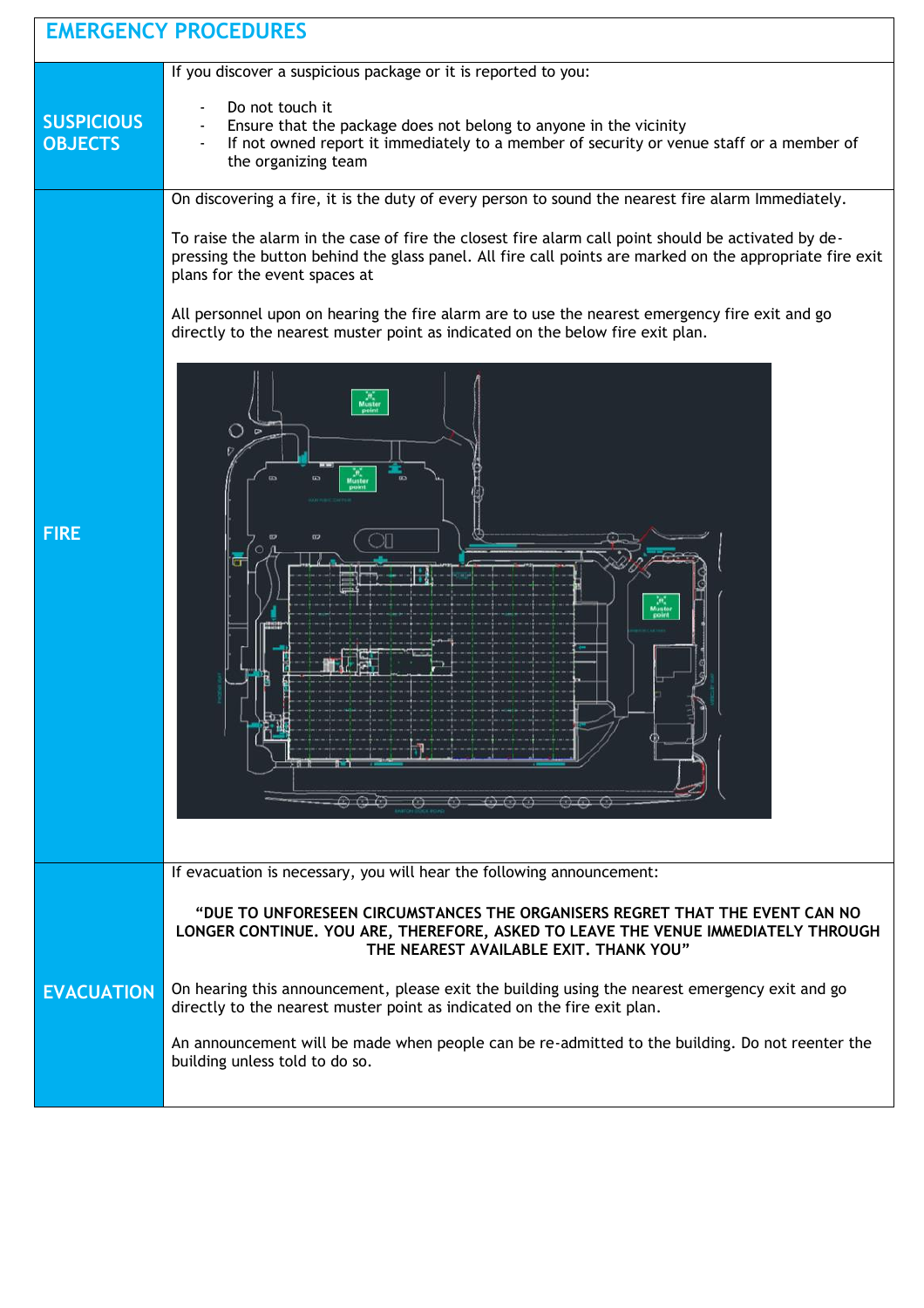| <b>EMERGENCY PROCEDURES</b>         |                                                                                                                                                                                                                                                  |
|-------------------------------------|--------------------------------------------------------------------------------------------------------------------------------------------------------------------------------------------------------------------------------------------------|
|                                     | If you discover a suspicious package or it is reported to you:                                                                                                                                                                                   |
| <b>SUSPICIOUS</b><br><b>OBJECTS</b> | Do not touch it<br>Ensure that the package does not belong to anyone in the vicinity<br>If not owned report it immediately to a member of security or venue staff or a member of<br>the organizing team                                          |
|                                     | On discovering a fire, it is the duty of every person to sound the nearest fire alarm Immediately.                                                                                                                                               |
| <b>FIRE</b>                         | To raise the alarm in the case of fire the closest fire alarm call point should be activated by de-<br>pressing the button behind the glass panel. All fire call points are marked on the appropriate fire exit<br>plans for the event spaces at |
|                                     | All personnel upon on hearing the fire alarm are to use the nearest emergency fire exit and go<br>directly to the nearest muster point as indicated on the below fire exit plan.                                                                 |
|                                     | Л<br>$\leq$ $\Rightarrow$ $\cdots$<br>$\omega$                                                                                                                                                                                                   |
|                                     | If evacuation is necessary, you will hear the following announcement:                                                                                                                                                                            |
| <b>EVACUATION</b>                   | "DUE TO UNFORESEEN CIRCUMSTANCES THE ORGANISERS REGRET THAT THE EVENT CAN NO<br>LONGER CONTINUE. YOU ARE, THEREFORE, ASKED TO LEAVE THE VENUE IMMEDIATELY THROUGH<br>THE NEAREST AVAILABLE EXIT, THANK YOU"                                      |
|                                     | On hearing this announcement, please exit the building using the nearest emergency exit and go<br>directly to the nearest muster point as indicated on the fire exit plan.                                                                       |
|                                     | An announcement will be made when people can be re-admitted to the building. Do not reenter the<br>building unless told to do so.                                                                                                                |